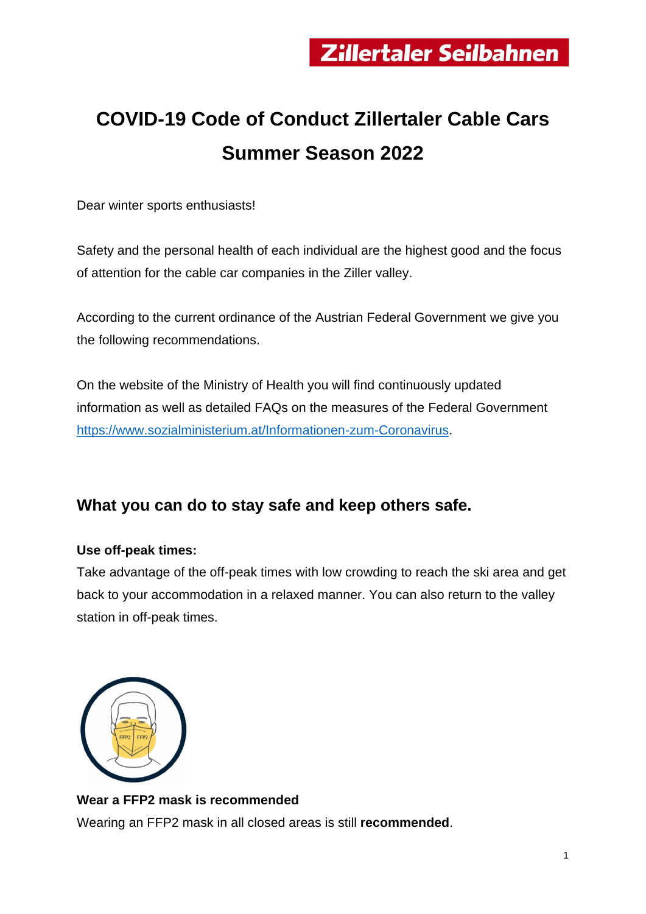# **COVID-19 Code of Conduct Zillertaler Cable Cars Summer Season 2022**

Dear winter sports enthusiasts!

Safety and the personal health of each individual are the highest good and the focus of attention for the cable car companies in the Ziller valley.

According to the current ordinance of the Austrian Federal Government we give you the following recommendations.

On the website of the Ministry of Health you will find continuously updated information as well as detailed FAQs on the measures of the Federal Government [https://www.sozialministerium.at/Informationen-zum-Coronavirus.](https://www.sozialministerium.at/Informationen-zum-Coronavirus/Coronavirus---Aktuelle-Ma%C3%9Fnahmen.html)

# **What you can do to stay safe and keep others safe.**

#### **Use off-peak times:**

Take advantage of the off-peak times with low crowding to reach the ski area and get back to your accommodation in a relaxed manner. You can also return to the valley station in off-peak times.



#### **Wear a FFP2 mask is recommended**

Wearing an FFP2 mask in all closed areas is still **recommended**.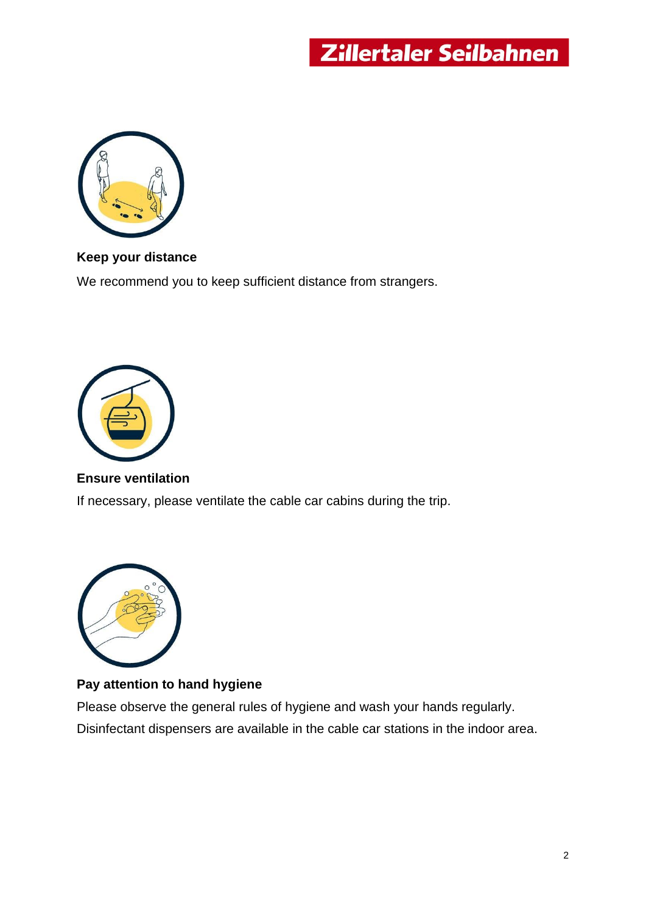

#### **Keep your distance**

We recommend you to keep sufficient distance from strangers.



#### **Ensure ventilation**

If necessary, please ventilate the cable car cabins during the trip.



#### **Pay attention to hand hygiene**

Please observe the general rules of hygiene and wash your hands regularly. Disinfectant dispensers are available in the cable car stations in the indoor area.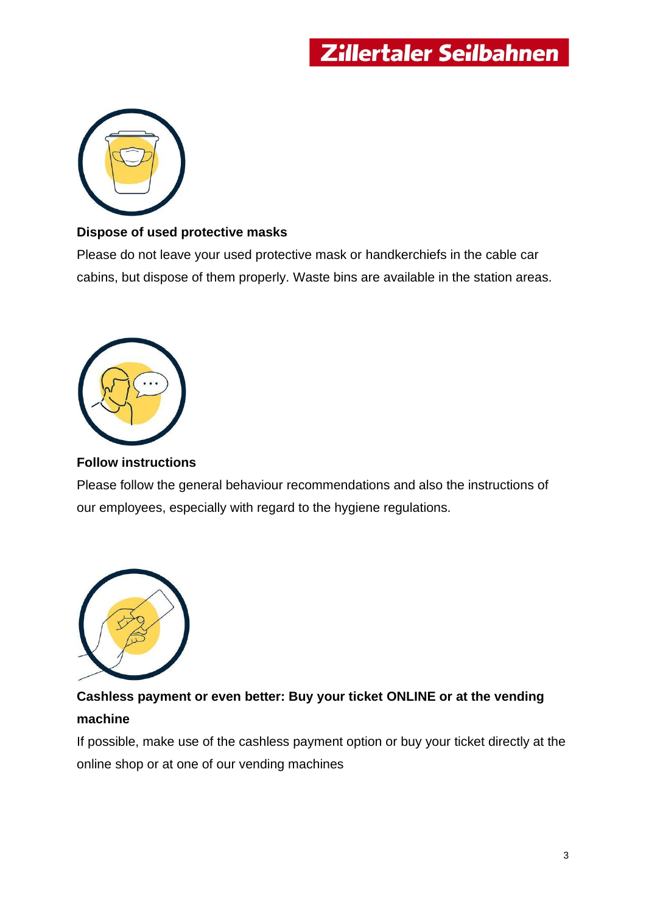

#### **Dispose of used protective masks**

Please do not leave your used protective mask or handkerchiefs in the cable car cabins, but dispose of them properly. Waste bins are available in the station areas.



#### **Follow instructions**

Please follow the general behaviour recommendations and also the instructions of our employees, especially with regard to the hygiene regulations.



# **Cashless payment or even better: Buy your ticket ONLINE or at the vending machine**

If possible, make use of the cashless payment option or buy your ticket directly at the online shop or at one of our vending machines